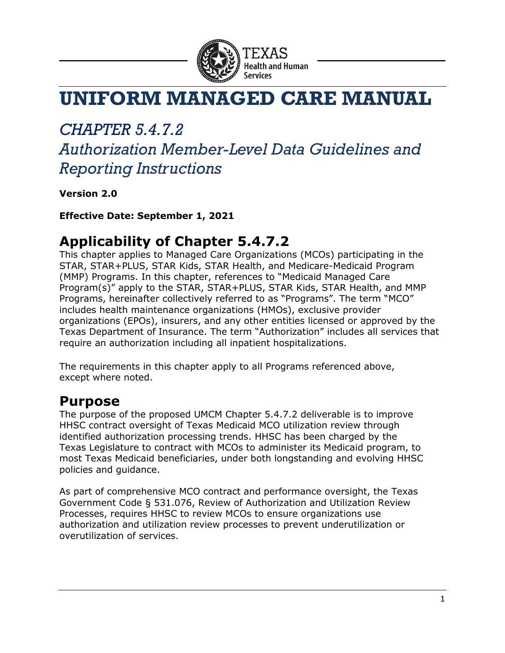

# **UNIFORM MANAGED CARE MANUAL**

## *CHAPTER 5.4.7.2*

## *Authorization Member-Level Data Guidelines and Reporting Instructions*

**Version 2.0**

**Effective Date: September 1, 2021**

#### **Applicability of Chapter 5.4.7.2**

This chapter applies to Managed Care Organizations (MCOs) participating in the STAR, STAR+PLUS, STAR Kids, STAR Health, and Medicare-Medicaid Program (MMP) Programs. In this chapter, references to "Medicaid Managed Care Program(s)" apply to the STAR, STAR+PLUS, STAR Kids, STAR Health, and MMP Programs, hereinafter collectively referred to as "Programs". The term "MCO" includes health maintenance organizations (HMOs), exclusive provider organizations (EPOs), insurers, and any other entities licensed or approved by the Texas Department of Insurance. The term "Authorization" includes all services that require an authorization including all inpatient hospitalizations.

The requirements in this chapter apply to all Programs referenced above, except where noted.

#### **Purpose**

The purpose of the proposed UMCM Chapter 5.4.7.2 deliverable is to improve HHSC contract oversight of Texas Medicaid MCO utilization review through identified authorization processing trends. HHSC has been charged by the Texas Legislature to contract with MCOs to administer its Medicaid program, to most Texas Medicaid beneficiaries, under both longstanding and evolving HHSC policies and guidance.

As part of comprehensive MCO contract and performance oversight, the Texas Government Code § 531.076, Review of Authorization and Utilization Review Processes, requires HHSC to review MCOs to ensure organizations use authorization and utilization review processes to prevent underutilization or overutilization of services.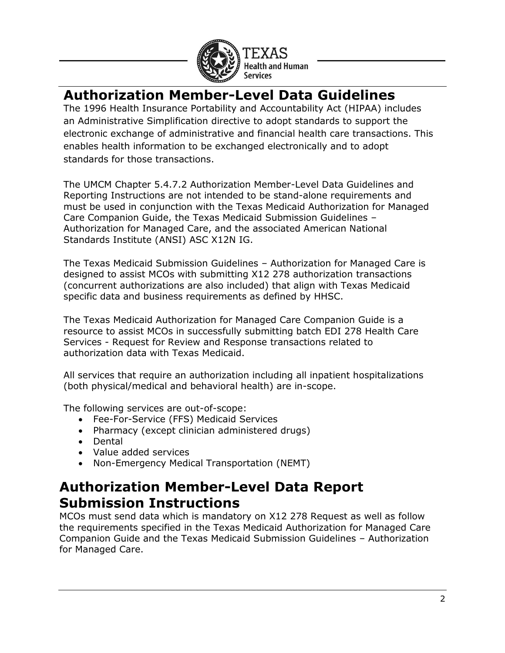

### **Authorization Member-Level Data Guidelines**

The 1996 Health Insurance Portability and Accountability Act (HIPAA) includes an Administrative Simplification directive to adopt standards to support the electronic exchange of administrative and financial health care transactions. This enables health information to be exchanged electronically and to adopt standards for those transactions.

The UMCM Chapter 5.4.7.2 Authorization Member-Level Data Guidelines and Reporting Instructions are not intended to be stand-alone requirements and must be used in conjunction with the Texas Medicaid Authorization for Managed Care Companion Guide, the Texas Medicaid Submission Guidelines – Authorization for Managed Care, and the associated American National Standards Institute (ANSI) ASC X12N IG.

The Texas Medicaid Submission Guidelines – Authorization for Managed Care is designed to assist MCOs with submitting X12 278 authorization transactions (concurrent authorizations are also included) that align with Texas Medicaid specific data and business requirements as defined by HHSC.

The Texas Medicaid Authorization for Managed Care Companion Guide is a resource to assist MCOs in successfully submitting batch EDI 278 Health Care Services - Request for Review and Response transactions related to authorization data with Texas Medicaid.

All services that require an authorization including all inpatient hospitalizations (both physical/medical and behavioral health) are in-scope.

The following services are out-of-scope:

- Fee-For-Service (FFS) Medicaid Services
- Pharmacy (except clinician administered drugs)
- Dental
- Value added services
- Non-Emergency Medical Transportation (NEMT)

#### **Authorization Member-Level Data Report Submission Instructions**

MCOs must send data which is mandatory on X12 278 Request as well as follow the requirements specified in the Texas Medicaid Authorization for Managed Care Companion Guide and the Texas Medicaid Submission Guidelines – Authorization for Managed Care.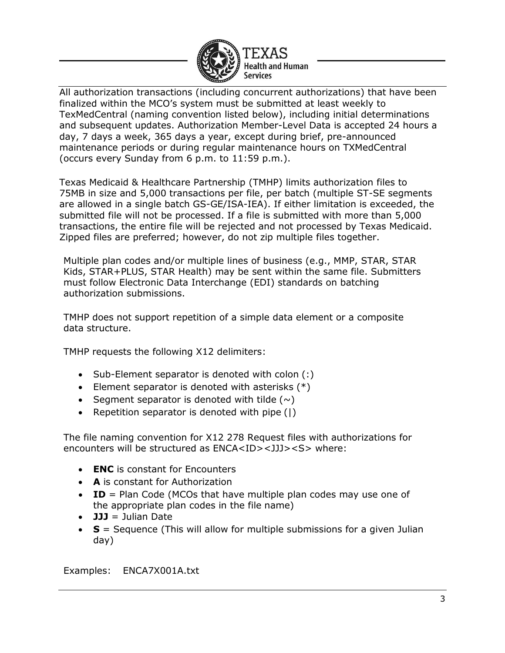

All authorization transactions (including concurrent authorizations) that have been finalized within the MCO's system must be submitted at least weekly to TexMedCentral (naming convention listed below), including initial determinations and subsequent updates. Authorization Member-Level Data is accepted 24 hours a day, 7 days a week, 365 days a year, except during brief, pre-announced maintenance periods or during regular maintenance hours on TXMedCentral (occurs every Sunday from 6 p.m. to 11:59 p.m.).

Texas Medicaid & Healthcare Partnership (TMHP) limits authorization files to 75MB in size and 5,000 transactions per file, per batch (multiple ST-SE segments are allowed in a single batch GS-GE/ISA-IEA). If either limitation is exceeded, the submitted file will not be processed. If a file is submitted with more than 5,000 transactions, the entire file will be rejected and not processed by Texas Medicaid. Zipped files are preferred; however, do not zip multiple files together.

Multiple plan codes and/or multiple lines of business (e.g., MMP, STAR, STAR Kids, STAR+PLUS, STAR Health) may be sent within the same file. Submitters must follow Electronic Data Interchange (EDI) standards on batching authorization submissions.

TMHP does not support repetition of a simple data element or a composite data structure.

TMHP requests the following X12 delimiters:

- Sub-Element separator is denoted with colon (:)
- Element separator is denoted with asterisks  $(*)$
- Segment separator is denoted with tilde  $(\sim)$
- Repetition separator is denoted with pipe (|)

The file naming convention for X12 278 Request files with authorizations for encounters will be structured as ENCA<ID><JJJ><S> where:

- **ENC** is constant for Encounters
- **A** is constant for Authorization
- **ID** = Plan Code (MCOs that have multiple plan codes may use one of the appropriate plan codes in the file name)
- **JJJ** = Julian Date
- **S** = Sequence (This will allow for multiple submissions for a given Julian day)

Examples: ENCA7X001A.txt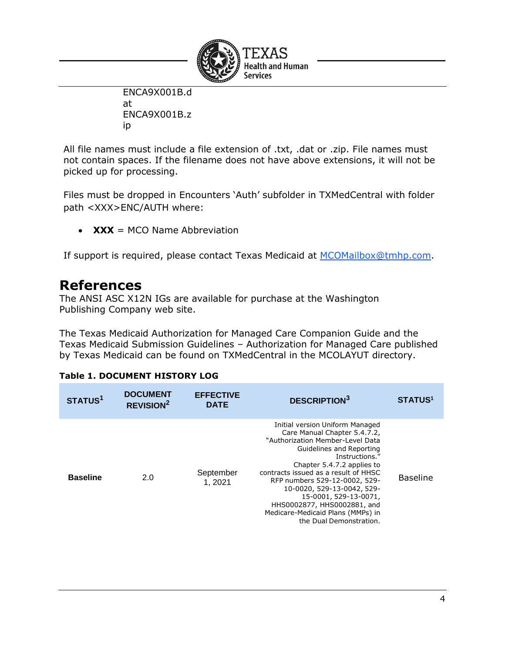

ENCA9X001B.d at ENCA9X001B.z ip

All file names must include a file extension of .txt, .dat or .zip. File names must not contain spaces. If the filename does not have above extensions, it will not be picked up for processing.

Files must be dropped in Encounters 'Auth' subfolder in TXMedCentral with folder path <XXX>ENC/AUTH where:

• **XXX** = MCO Name Abbreviation

If support is required, please contact Texas Medicaid at [MCOMailbox@tmhp.com.](mailto:MCOMailbox@tmhp.com)

#### **References**

The ANSI ASC X12N IGs are available for purchase at the Washington Publishing Company web site.

The Texas Medicaid Authorization for Managed Care Companion Guide and the Texas Medicaid Submission Guidelines – Authorization for Managed Care published by Texas Medicaid can be found on TXMedCentral in the MCOLAYUT directory.

#### **Table 1. DOCUMENT HISTORY LOG**

| STATUS <sup>1</sup> | <b>DOCUMENT</b><br>REVISION <sup>2</sup> | <b>EFFECTIVE</b><br><b>DATE</b> | <b>DESCRIPTION3</b>                                                                                                                                                                                                                                                                                                                                                                                            | <b>STATUS1</b>  |
|---------------------|------------------------------------------|---------------------------------|----------------------------------------------------------------------------------------------------------------------------------------------------------------------------------------------------------------------------------------------------------------------------------------------------------------------------------------------------------------------------------------------------------------|-----------------|
| <b>Baseline</b>     | 2.0                                      | September<br>1, 2021            | Initial version Uniform Managed<br>Care Manual Chapter 5.4.7.2,<br>"Authorization Member-Level Data<br>Guidelines and Reporting<br>Instructions."<br>Chapter 5.4.7.2 applies to<br>contracts issued as a result of HHSC<br>RFP numbers 529-12-0002, 529-<br>10-0020, 529-13-0042, 529-<br>15-0001, 529-13-0071,<br>HHS0002877, HHS0002881, and<br>Medicare-Medicaid Plans (MMPs) in<br>the Dual Demonstration. | <b>Baseline</b> |